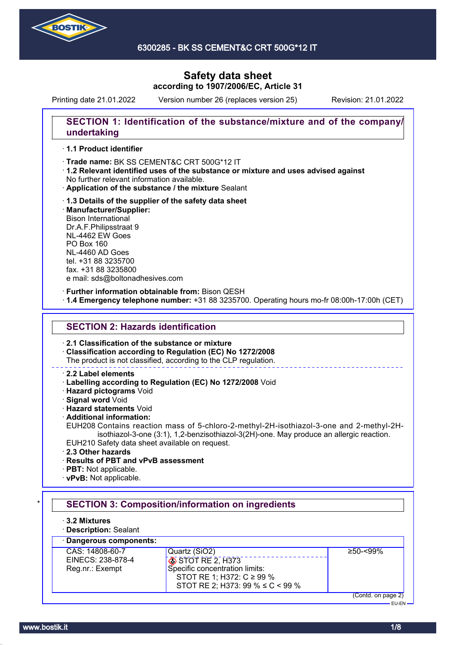

Printing date 21.01.2022 Version number 26 (replaces version 25) Revision: 21.01.2022

## **SECTION 1: Identification of the substance/mixture and of the company/ undertaking**

### · **1.1 Product identifier**

· Trade name: BK SS CEMENT&C CRT 500G\*12 IT

- · **1.2 Relevant identified uses of the substance or mixture and uses advised against** No further relevant information available.
- · **Application of the substance / the mixture** Sealant
- · **1.3 Details of the supplier of the safety data sheet** · **Manufacturer/Supplier:** Bison International Dr.A.F.Philipsstraat 9 NL-4462 EW Goes PO Box 160 NL-4460 AD Goes tel. +31 88 3235700 fax. +31 88 3235800 e mail: sds@boltonadhesives.com

#### · **Further information obtainable from:** Bison QESH

· **1.4 Emergency telephone number:** +31 88 3235700. Operating hours mo-fr 08:00h-17:00h (CET)

### **SECTION 2: Hazards identification**

· **2.1 Classification of the substance or mixture**

· **Classification according to Regulation (EC) No 1272/2008**

The product is not classified, according to the CLP regulation.

### · **2.2 Label elements**

- · **Labelling according to Regulation (EC) No 1272/2008** Void
- · **Hazard pictograms** Void
- · **Signal word** Void
- · **Hazard statements** Void
- · **Additional information:**

EUH208 Contains reaction mass of 5-chloro-2-methyl-2H-isothiazol-3-one and 2-methyl-2Hisothiazol-3-one (3:1), 1,2-benzisothiazol-3(2H)-one. May produce an allergic reaction. EUH210 Safety data sheet available on request.

- · **2.3 Other hazards**
- · **Results of PBT and vPvB assessment**
- · **PBT:** Not applicable.
- · **vPvB:** Not applicable.

#### **SECTION 3: Composition/information on ingredients** · **3.2 Mixtures** · **Description:** Sealant · **Dangerous components:** CAS: 14808-60-7 EINECS: 238-878-4 Reg.nr.: Exempt Quartz (SiO2) STOT RE 2, H373 Specific concentration limits: STOT RE 1; H372: C ≥ 99 % STOT RE 2; H373: 99 % ≤ C < 99 % ≥50-<99% (Contd. on page 2) EU-EN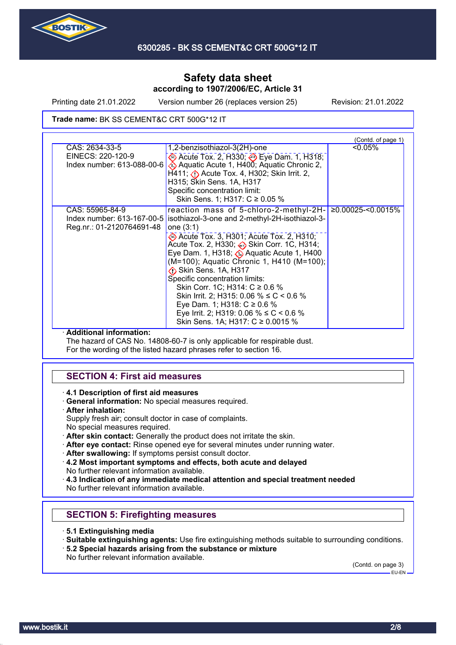

Printing date 21.01.2022 Version number 26 (replaces version 25) Revision: 21.01.2022

#### Trade name: BK SS CEMENT&C CRT 500G\*12 IT

| CAS: 2634-33-5<br><0.05%<br>1,2-benzisothiazol-3(2H)-one<br>EINECS: 220-120-9<br>Acute Tox. 2, H330; Deye Dam. 1, H318;<br>Aquatic Acute 1, H400; Aquatic Chronic 2,<br>Index number: 613-088-00-6<br>$H411$ ; $\langle \cdot \rangle$ Acute Tox. 4, H302; Skin Irrit. 2,<br>H315; Skin Sens. 1A, H317<br>Specific concentration limit:<br>Skin Sens. 1; H317: C ≥ 0.05 %<br>reaction mass of 5-chloro-2-methyl-2H- 20.00025-<0.0015%<br>CAS: 55965-84-9<br>isothiazol-3-one and 2-methyl-2H-isothiazol-3-<br>Index number: 613-167-00-5<br>Reg.nr.: 01-2120764691-48<br>one (3:1)<br>Acute Tox. 3, H301; Acute Tox. 2, H310;<br>Acute Tox. 2, H330; → Skin Corr. 1C, H314;<br>Eye Dam. 1, H318; Aquatic Acute 1, H400<br>(M=100); Aquatic Chronic 1, H410 (M=100);<br>Skin Sens. 1A, H317<br>Specific concentration limits:<br>Skin Corr. 1C; H314: C ≥ 0.6 %<br>Skin Irrit. 2; H315: 0.06 % $\leq C$ < 0.6 %<br>Eye Dam. 1; H318: $C \ge 0.6$ %<br>Eye Irrit. 2; H319: 0.06 % $\leq C$ < 0.6 %<br>Skin Sens. 1A; H317: C ≥ 0.0015 % | (Contd. of page 1) |  |  |
|---------------------------------------------------------------------------------------------------------------------------------------------------------------------------------------------------------------------------------------------------------------------------------------------------------------------------------------------------------------------------------------------------------------------------------------------------------------------------------------------------------------------------------------------------------------------------------------------------------------------------------------------------------------------------------------------------------------------------------------------------------------------------------------------------------------------------------------------------------------------------------------------------------------------------------------------------------------------------------------------------------------------------------------|--------------------|--|--|
|                                                                                                                                                                                                                                                                                                                                                                                                                                                                                                                                                                                                                                                                                                                                                                                                                                                                                                                                                                                                                                       |                    |  |  |
|                                                                                                                                                                                                                                                                                                                                                                                                                                                                                                                                                                                                                                                                                                                                                                                                                                                                                                                                                                                                                                       |                    |  |  |

#### · **Additional information:**

The hazard of CAS No. 14808-60-7 is only applicable for respirable dust. For the wording of the listed hazard phrases refer to section 16.

## **SECTION 4: First aid measures**

- · **4.1 Description of first aid measures**
- · **General information:** No special measures required.
- · **After inhalation:**
- Supply fresh air; consult doctor in case of complaints.
- No special measures required.
- · **After skin contact:** Generally the product does not irritate the skin.
- · **After eye contact:** Rinse opened eye for several minutes under running water.
- · **After swallowing:** If symptoms persist consult doctor.
- · **4.2 Most important symptoms and effects, both acute and delayed** No further relevant information available.
- · **4.3 Indication of any immediate medical attention and special treatment needed** No further relevant information available.

## **SECTION 5: Firefighting measures**

- · **5.1 Extinguishing media**
- · **Suitable extinguishing agents:** Use fire extinguishing methods suitable to surrounding conditions.
- · **5.2 Special hazards arising from the substance or mixture** No further relevant information available.

(Contd. on page 3) -<br>EU-EN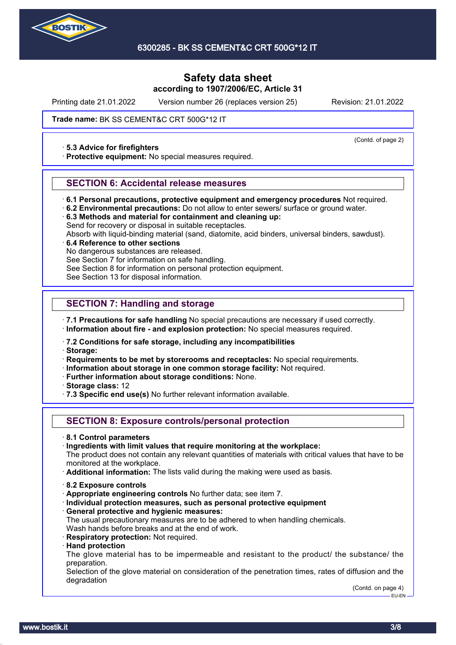

Printing date 21.01.2022 Version number 26 (replaces version 25) Revision: 21.01.2022

Trade name: BK SS CEMENT&C CRT 500G\*12 IT

#### · **5.3 Advice for firefighters**

· **Protective equipment:** No special measures required.

### **SECTION 6: Accidental release measures**

- · **6.1 Personal precautions, protective equipment and emergency procedures** Not required.
- · **6.2 Environmental precautions:** Do not allow to enter sewers/ surface or ground water.
- · **6.3 Methods and material for containment and cleaning up:** Send for recovery or disposal in suitable receptacles.
- Absorb with liquid-binding material (sand, diatomite, acid binders, universal binders, sawdust).

### · **6.4 Reference to other sections**

No dangerous substances are released.

See Section 7 for information on safe handling.

See Section 8 for information on personal protection equipment.

See Section 13 for disposal information.

### **SECTION 7: Handling and storage**

· **7.1 Precautions for safe handling** No special precautions are necessary if used correctly.

· **Information about fire - and explosion protection:** No special measures required.

· **7.2 Conditions for safe storage, including any incompatibilities**

· **Storage:**

· **Requirements to be met by storerooms and receptacles:** No special requirements.

- · **Information about storage in one common storage facility:** Not required.
- · **Further information about storage conditions:** None.
- · **Storage class:** 12
- · **7.3 Specific end use(s)** No further relevant information available.

### **SECTION 8: Exposure controls/personal protection**

- · **8.1 Control parameters**
- · **Ingredients with limit values that require monitoring at the workplace:**

The product does not contain any relevant quantities of materials with critical values that have to be monitored at the workplace.

· **Additional information:** The lists valid during the making were used as basis.

- · **8.2 Exposure controls**
- · **Appropriate engineering controls** No further data; see item 7.
- · **Individual protection measures, such as personal protective equipment**
- · **General protective and hygienic measures:**
- The usual precautionary measures are to be adhered to when handling chemicals. Wash hands before breaks and at the end of work.
- · **Respiratory protection:** Not required.
- · **Hand protection**

The glove material has to be impermeable and resistant to the product/ the substance/ the preparation.

Selection of the glove material on consideration of the penetration times, rates of diffusion and the degradation

> (Contd. on page 4) EU-EN

(Contd. of page 2)

www.bostik.it 3/8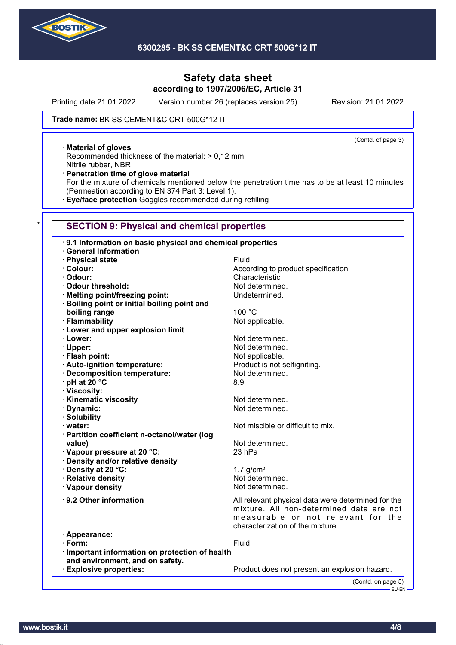

Printing date 21.01.2022 Version number 26 (replaces version 25) Revision: 21.01.2022

(Contd. of page 3)

### Trade name: BK SS CEMENT&C CRT 500G\*12 IT

· **Material of gloves**

Recommended thickness of the material: > 0,12 mm Nitrile rubber, NBR

· **Penetration time of glove material**

For the mixture of chemicals mentioned below the penetration time has to be at least 10 minutes (Permeation according to EN 374 Part 3: Level 1).

· **Eye/face protection** Goggles recommended during refilling

### **SECTION 9: Physical and chemical properties**

| 9.1 Information on basic physical and chemical properties |                                                                                                                                                                          |  |  |
|-----------------------------------------------------------|--------------------------------------------------------------------------------------------------------------------------------------------------------------------------|--|--|
| <b>General Information</b>                                |                                                                                                                                                                          |  |  |
| · Physical state                                          | Fluid                                                                                                                                                                    |  |  |
| · Colour:                                                 | According to product specification                                                                                                                                       |  |  |
| · Odour:                                                  | Characteristic                                                                                                                                                           |  |  |
| Odour threshold:                                          | Not determined.                                                                                                                                                          |  |  |
| · Melting point/freezing point:                           | Undetermined.                                                                                                                                                            |  |  |
| · Boiling point or initial boiling point and              |                                                                                                                                                                          |  |  |
| boiling range                                             | 100 °C                                                                                                                                                                   |  |  |
| · Flammability                                            | Not applicable.                                                                                                                                                          |  |  |
| <b>Lower and upper explosion limit</b>                    |                                                                                                                                                                          |  |  |
| · Lower:                                                  | Not determined.                                                                                                                                                          |  |  |
| · Upper:                                                  | Not determined.                                                                                                                                                          |  |  |
| · Flash point:                                            | Not applicable.                                                                                                                                                          |  |  |
| · Auto-ignition temperature:                              | Product is not selfigniting.                                                                                                                                             |  |  |
| · Decomposition temperature:                              | Not determined.                                                                                                                                                          |  |  |
| · pH at 20 °C                                             | 8.9                                                                                                                                                                      |  |  |
| · Viscosity:                                              |                                                                                                                                                                          |  |  |
| · Kinematic viscosity                                     | Not determined.                                                                                                                                                          |  |  |
| · Dynamic:                                                | Not determined.                                                                                                                                                          |  |  |
| · Solubility                                              |                                                                                                                                                                          |  |  |
| · water:                                                  | Not miscible or difficult to mix.                                                                                                                                        |  |  |
| · Partition coefficient n-octanol/water (log              |                                                                                                                                                                          |  |  |
| value)                                                    | Not determined.                                                                                                                                                          |  |  |
| Vapour pressure at 20 °C:                                 | 23 hPa                                                                                                                                                                   |  |  |
| · Density and/or relative density                         |                                                                                                                                                                          |  |  |
| · Density at 20 °C:                                       | $1.7$ g/cm <sup>3</sup>                                                                                                                                                  |  |  |
| · Relative density                                        | Not determined.                                                                                                                                                          |  |  |
| · Vapour density                                          | Not determined.                                                                                                                                                          |  |  |
| 9.2 Other information                                     | All relevant physical data were determined for the<br>mixture. All non-determined data are not<br>measurable or not relevant for the<br>characterization of the mixture. |  |  |
| · Appearance:                                             |                                                                                                                                                                          |  |  |
| $\cdot$ Form:                                             | Fluid                                                                                                                                                                    |  |  |
| Important information on protection of health             |                                                                                                                                                                          |  |  |
| and environment, and on safety.                           |                                                                                                                                                                          |  |  |
| <b>Explosive properties:</b>                              | Product does not present an explosion hazard.                                                                                                                            |  |  |
|                                                           | (Contd. on page 5)                                                                                                                                                       |  |  |
|                                                           | EU-EN                                                                                                                                                                    |  |  |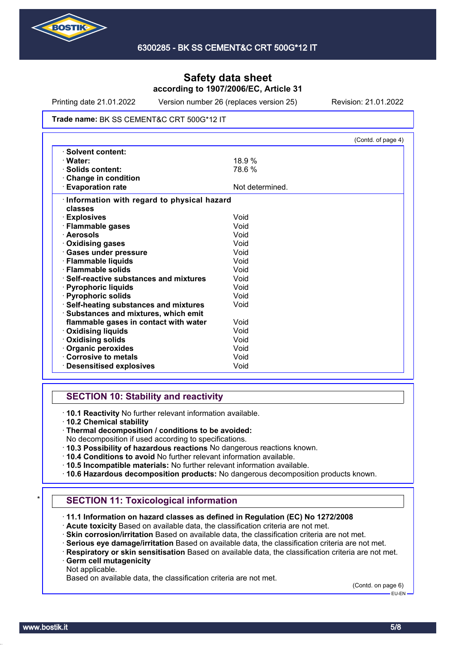

Printing date 21.01.2022 Version number 26 (replaces version 25) Revision: 21.01.2022

#### Trade name: BK SS CEMENT&C CRT 500G\*12 IT

|                                            |                 | (Contd. of page 4) |
|--------------------------------------------|-----------------|--------------------|
| · Solvent content:                         |                 |                    |
| · Water:                                   | 18.9%           |                    |
| · Solids content:                          | 78.6%           |                    |
| Change in condition                        |                 |                    |
| <b>Evaporation rate</b>                    | Not determined. |                    |
| Information with regard to physical hazard |                 |                    |
| classes                                    |                 |                    |
| · Explosives                               | Void            |                    |
| · Flammable gases                          | Void            |                    |
| · Aerosols                                 | Void            |                    |
| · Oxidising gases                          | Void            |                    |
| · Gases under pressure                     | Void            |                    |
| · Flammable liquids                        | Void            |                    |
| · Flammable solids                         | Void            |                    |
| · Self-reactive substances and mixtures    | Void            |                    |
| · Pyrophoric liquids                       | Void            |                    |
| · Pyrophoric solids                        | Void            |                    |
| · Self-heating substances and mixtures     | Void            |                    |
| · Substances and mixtures, which emit      |                 |                    |
| flammable gases in contact with water      | Void            |                    |
| <b>Oxidising liquids</b>                   | Void            |                    |
| · Oxidising solids                         | Void            |                    |
| Organic peroxides                          | Void            |                    |
| Corrosive to metals                        | Void            |                    |
| <b>Desensitised explosives</b>             | Void            |                    |

## **SECTION 10: Stability and reactivity**

· **10.1 Reactivity** No further relevant information available.

· **10.2 Chemical stability**

- No decomposition if used according to specifications.
- · **10.3 Possibility of hazardous reactions** No dangerous reactions known.
- · **10.4 Conditions to avoid** No further relevant information available.
- · **10.5 Incompatible materials:** No further relevant information available.
- · **10.6 Hazardous decomposition products:** No dangerous decomposition products known.

## **SECTION 11: Toxicological information**

- · **11.1 Information on hazard classes as defined in Regulation (EC) No 1272/2008**
- · **Acute toxicity** Based on available data, the classification criteria are not met.
- · **Skin corrosion/irritation** Based on available data, the classification criteria are not met.
- · **Serious eye damage/irritation** Based on available data, the classification criteria are not met.
- · **Respiratory or skin sensitisation** Based on available data, the classification criteria are not met. · **Germ cell mutagenicity**
- Not applicable.

Based on available data, the classification criteria are not met.

(Contd. on page 6)

<sup>·</sup> **Thermal decomposition / conditions to be avoided:**

EU-EN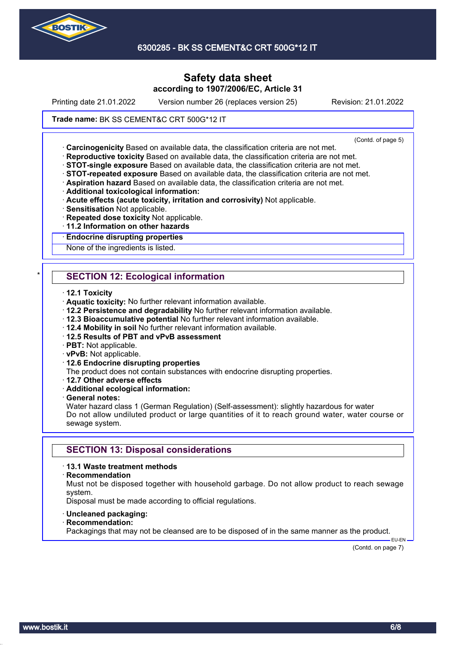

6300285 - BK SS CEMENT&C CRT 500G\*12 IT

## **Safety data sheet according to 1907/2006/EC, Article 31**

Printing date 21.01.2022 Version number 26 (replaces version 25) Revision: 21.01.2022

### Trade name: BK SS CEMENT&C CRT 500G\*12 IT

(Contd. of page 5)

· **Carcinogenicity** Based on available data, the classification criteria are not met.

- · **Reproductive toxicity** Based on available data, the classification criteria are not met.
- · **STOT-single exposure** Based on available data, the classification criteria are not met.
- · **STOT-repeated exposure** Based on available data, the classification criteria are not met.
- · **Aspiration hazard** Based on available data, the classification criteria are not met.
- · **Additional toxicological information:**
- · **Acute effects (acute toxicity, irritation and corrosivity)** Not applicable.
- · **Sensitisation** Not applicable.
- · **Repeated dose toxicity** Not applicable.
- · **11.2 Information on other hazards**

### · **Endocrine disrupting properties**

None of the ingredients is listed.

## **SECTION 12: Ecological information**

- · **12.1 Toxicity**
- · **Aquatic toxicity:** No further relevant information available.
- · **12.2 Persistence and degradability** No further relevant information available.
- · **12.3 Bioaccumulative potential** No further relevant information available.
- · **12.4 Mobility in soil** No further relevant information available.
- · **12.5 Results of PBT and vPvB assessment**
- · **PBT:** Not applicable.
- · **vPvB:** Not applicable.
- · **12.6 Endocrine disrupting properties**
- The product does not contain substances with endocrine disrupting properties.
- · **12.7 Other adverse effects**
- · **Additional ecological information:**
- · **General notes:**

Water hazard class 1 (German Regulation) (Self-assessment): slightly hazardous for water Do not allow undiluted product or large quantities of it to reach ground water, water course or sewage system.

### **SECTION 13: Disposal considerations**

#### · **13.1 Waste treatment methods**

#### · **Recommendation**

Must not be disposed together with household garbage. Do not allow product to reach sewage system.

Disposal must be made according to official regulations.

- · **Uncleaned packaging:**
- · **Recommendation:**

Packagings that may not be cleansed are to be disposed of in the same manner as the product.

(Contd. on page 7)

EU-EN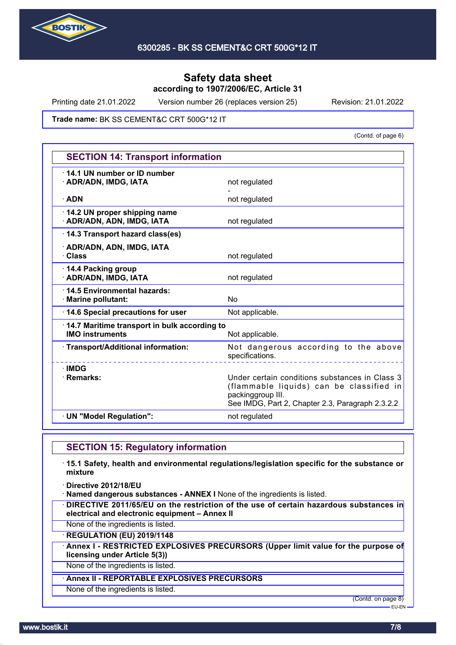

Printing date 21.01.2022 Version number 26 (replaces version 25) Revision: 21.01.2022

Trade name: BK SS CEMENT&C CRT 500G\*12 IT

(Contd. of page 6)

| <b>SECTION 14: Transport information</b>                               |                                                                                                                                                                     |  |
|------------------------------------------------------------------------|---------------------------------------------------------------------------------------------------------------------------------------------------------------------|--|
| 14.1 UN number or ID number<br>· ADR/ADN, IMDG, IATA                   | not regulated                                                                                                                                                       |  |
| $\cdot$ ADN                                                            | not regulated                                                                                                                                                       |  |
| 14.2 UN proper shipping name<br>· ADR/ADN, ADN, IMDG, IATA             | not regulated                                                                                                                                                       |  |
| 14.3 Transport hazard class(es)                                        |                                                                                                                                                                     |  |
| · ADR/ADN, ADN, IMDG, IATA<br>· Class                                  | not regulated                                                                                                                                                       |  |
| 14.4 Packing group<br>· ADR/ADN, IMDG, IATA                            | not regulated                                                                                                                                                       |  |
| 14.5 Environmental hazards:<br>· Marine pollutant:                     | N <sub>0</sub>                                                                                                                                                      |  |
| 14.6 Special precautions for user                                      | Not applicable.                                                                                                                                                     |  |
| 14.7 Maritime transport in bulk according to<br><b>IMO instruments</b> | Not applicable.                                                                                                                                                     |  |
| · Transport/Additional information:                                    | Not dangerous according to the above<br>specifications.                                                                                                             |  |
| $\cdot$ IMDG<br>· Remarks:                                             | Under certain conditions substances in Class 3<br>(flammable liquids) can be classified in<br>packinggroup III.<br>See IMDG, Part 2, Chapter 2.3, Paragraph 2.3.2.2 |  |
| · UN "Model Regulation":                                               | not regulated                                                                                                                                                       |  |

## **SECTION 15: Regulatory information**

· **15.1 Safety, health and environmental regulations/legislation specific for the substance or mixture**

· **Directive 2012/18/EU**

· **Named dangerous substances - ANNEX I** None of the ingredients is listed.

· **DIRECTIVE 2011/65/EU on the restriction of the use of certain hazardous substances in electrical and electronic equipment – Annex II**

None of the ingredients is listed.

· **REGULATION (EU) 2019/1148**

· **Annex I - RESTRICTED EXPLOSIVES PRECURSORS (Upper limit value for the purpose of licensing under Article 5(3))**

None of the ingredients is listed.

### · **Annex II - REPORTABLE EXPLOSIVES PRECURSORS**

None of the ingredients is listed.

(Contd. on page 8)

EU-EN